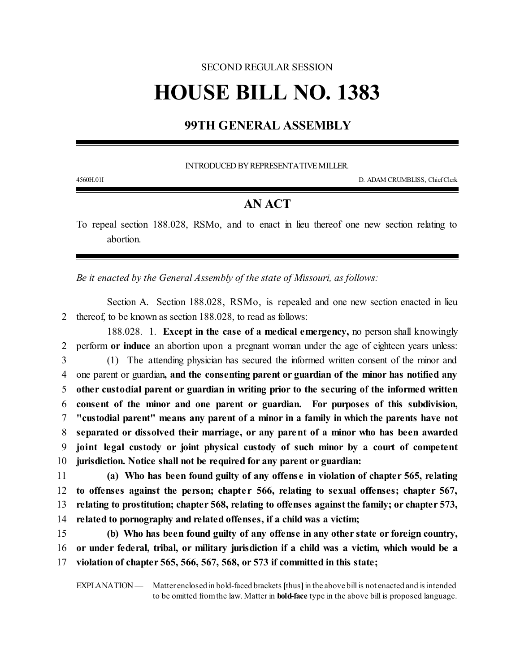## SECOND REGULAR SESSION **HOUSE BILL NO. 1383**

## **99TH GENERAL ASSEMBLY**

INTRODUCED BY REPRESENTATIVE MILLER.

4560H.01I D. ADAM CRUMBLISS, ChiefClerk

## **AN ACT**

To repeal section 188.028, RSMo, and to enact in lieu thereof one new section relating to abortion.

*Be it enacted by the General Assembly of the state of Missouri, as follows:*

Section A. Section 188.028, RSMo, is repealed and one new section enacted in lieu 2 thereof, to be known as section 188.028, to read as follows:

188.028. 1. **Except in the case of a medical emergency,** no person shall knowingly perform **or induce** an abortion upon a pregnant woman under the age of eighteen years unless: (1) The attending physician has secured the informed written consent of the minor and one parent or guardian**, and the consenting parent or guardian of the minor has notified any other custodial parent or guardian in writing prior to the securing of the informed written consent of the minor and one parent or guardian. For purposes of this subdivision, "custodial parent" means any parent of a minor in a family in which the parents have not separated or dissolved their marriage, or any parent of a minor who has been awarded joint legal custody or joint physical custody of such minor by a court of competent jurisdiction. Notice shall not be required for any parent or guardian:**

 **(a) Who has been found guilty of any offense in violation of chapter 565, relating to offenses against the person; chapte r 566, relating to sexual offenses; chapter 567, relating to prostitution; chapter 568, relating to offenses againstthe family; or chapter 573, related to pornography and related offenses, if a child was a victim;**

15 **(b) Who has been found guilty of any offense in any other state or foreign country,** 16 **or under federal, tribal, or military jurisdiction if a child was a victim, which would be a** 17 **violation of chapter 565, 566, 567, 568, or 573 if committed in this state;**

EXPLANATION — Matter enclosed in bold-faced brackets **[**thus**]**in the above bill is not enacted and is intended to be omitted fromthe law. Matter in **bold-face** type in the above bill is proposed language.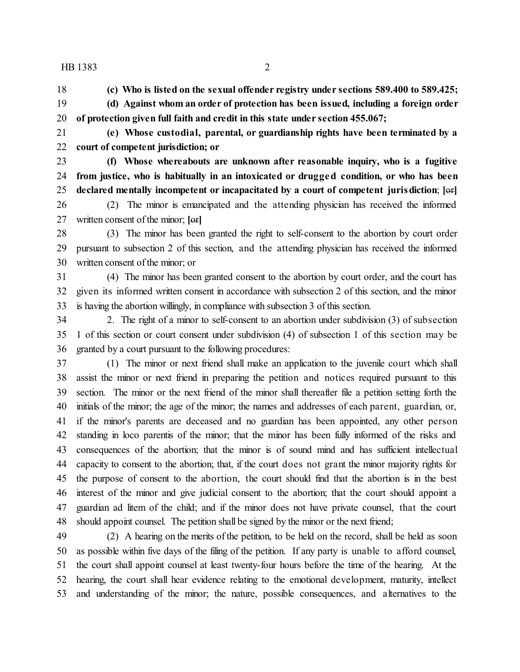## HB 1383 2

**(c) Who is listed on the sexual offender registry under sections 589.400 to 589.425;**

- **(d) Against whom an order of protection has been issued, including a foreign order of protection given full faith and credit in this state under section 455.067;**
- 

 **(e) Whose custodial, parental, or guardianship rights have been terminated by a court of competent jurisdiction; or**

 **(f) Whose whereabouts are unknown after reasonable inquiry, who is a fugitive from justice, who is habitually in an intoxicated or drugged condition, or who has been declared mentally incompetent or incapacitated by a court of competent jurisdiction**; **[**or**]**

 (2) The minor is emancipated and the attending physician has received the informed written consent of the minor; **[**or**]**

 (3) The minor has been granted the right to self-consent to the abortion by court order pursuant to subsection 2 of this section, and the attending physician has received the informed written consent of the minor; or

 (4) The minor has been granted consent to the abortion by court order, and the court has given its informed written consent in accordance with subsection 2 of this section, and the minor is having the abortion willingly, in compliance with subsection 3 of this section.

 2. The right of a minor to self-consent to an abortion under subdivision (3) of subsection 1 of this section or court consent under subdivision (4) of subsection 1 of this section may be granted by a court pursuant to the following procedures:

 (1) The minor or next friend shall make an application to the juvenile court which shall assist the minor or next friend in preparing the petition and notices required pursuant to this section. The minor or the next friend of the minor shall thereafter file a petition setting forth the initials of the minor; the age of the minor; the names and addresses of each parent, guardian, or, if the minor's parents are deceased and no guardian has been appointed, any other person standing in loco parentis of the minor; that the minor has been fully informed of the risks and consequences of the abortion; that the minor is of sound mind and has sufficient intellectual capacity to consent to the abortion; that, if the court does not grant the minor majority rights for the purpose of consent to the abortion, the court should find that the abortion is in the best interest of the minor and give judicial consent to the abortion; that the court should appoint a guardian ad litem of the child; and if the minor does not have private counsel, that the court should appoint counsel. The petition shall be signed by the minor or the next friend;

 (2) A hearing on the merits of the petition, to be held on the record, shall be held as soon as possible within five days of the filing of the petition. If any party is unable to afford counsel, the court shall appoint counsel at least twenty-four hours before the time of the hearing. At the hearing, the court shall hear evidence relating to the emotional development, maturity, intellect and understanding of the minor; the nature, possible consequences, and alternatives to the